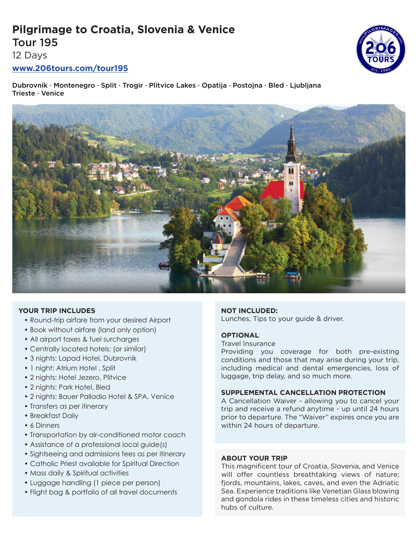# **Pilgrimage to Croatia, Slovenia & Venice** Tour 195

12 Days

# **www.206tours.com/tour195**

Dubrovnik · Montenegro · Split · Trogir · Plitvice Lakes · Opatija · Postojna · Bled · Ljubljana Trieste · Venice



## **YOUR TRIP INCLUDES**

- Round-trip airfare from your desired Airport
- Book without airfare (land only option)
- All airport taxes & fuel surcharges
- Centrally located hotels: (or similar)
- 3 nights: Lapad Hotel, Dubrovnik
- 1 night: Atrium Hotel, Split
- 2 nights: Hotel Jezero, Plitvice
- 2 nights: Park Hotel, Bled
- 2 nights: Bauer Palladio Hotel & SPA, Venice
- Transfers as per itinerary
- Breakfast Daily
- 6 Dinners
- Transportation by air-conditioned motor coach
- Assistance of a professional local guide(s)
- Sightseeing and admissions fees as per itinerary
- Catholic Priest available for Spiritual Direction
- Mass daily & Spiritual activities
- Luggage handling (1 piece per person)
- Flight bag & portfolio of all travel documents

## **NOT INCLUDED:**

Lunches, Tips to your guide & driver.

## **OPTIONAL**

#### Travel Insurance

Providing you coverage for both pre-existing conditions and those that may arise during your trip, including medical and dental emergencies, loss of luggage, trip delay, and so much more.

## **SUPPLEMENTAL CANCELLATION PROTECTION**

A Cancellation Waiver - allowing you to cancel your trip and receive a refund anytime - up until 24 hours prior to departure. The "Waiver" expires once you are within 24 hours of departure.

## **ABOUT YOUR TRIP**

This magnificent tour of Croatia, Slovenia, and Venice will offer countless breathtaking views of nature; fjords, mountains, lakes, caves, and even the Adriatic Sea. Experience traditions like Venetian Glass blowing and gondola rides in these timeless cities and historic hubs of culture.

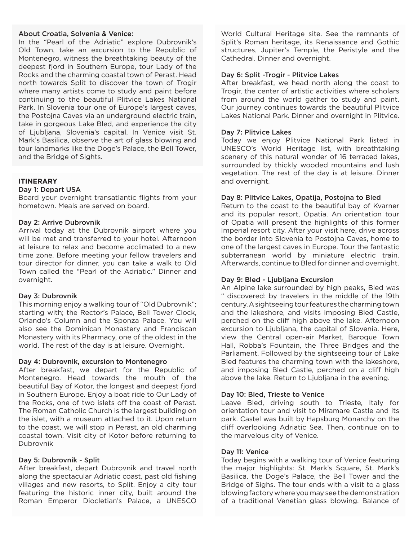#### About Croatia, Solvenia & Venice:

In the "Pearl of the Adriatic" explore Dubrovnik's Old Town, take an excursion to the Republic of Montenegro, witness the breathtaking beauty of the deepest fjord in Southern Europe, tour Lady of the Rocks and the charming coastal town of Perast. Head north towards Split to discover the town of Trogir where many artists come to study and paint before continuing to the beautiful Plitvice Lakes National Park. In Slovenia tour one of Europe's largest caves, the Postojna Caves via an underground electric train, take in gorgeous Lake Bled, and experience the city of Ljubljana, Slovenia's capital. In Venice visit St. Mark's Basilica, observe the art of glass blowing and tour landmarks like the Doge's Palace, the Bell Tower, and the Bridge of Sights.

## **ITINERARY**

#### Day 1: Depart USA

Board your overnight transatlantic flights from your hometown. Meals are served on board.

#### Day 2: Arrive Dubrovnik

Arrival today at the Dubrovnik airport where you will be met and transferred to your hotel. Afternoon at leisure to relax and become acclimated to a new time zone. Before meeting your fellow travelers and tour director for dinner, you can take a walk to Old Town called the "Pearl of the Adriatic." Dinner and overnight.

#### Day 3: Dubrovnik

This morning enjoy a walking tour of "Old Dubrovnik"; starting with; the Rector's Palace, Bell Tower Clock, Orlando's Column and the Sponza Palace. You will also see the Dominican Monastery and Franciscan Monastery with its Pharmacy, one of the oldest in the world. The rest of the day is at leisure. Overnight.

#### Day 4: Dubrovnik, excursion to Montenegro

After breakfast, we depart for the Republic of Montenegro. Head towards the mouth of the beautiful Bay of Kotor, the longest and deepest fjord in Southern Europe. Enjoy a boat ride to Our Lady of the Rocks, one of two islets off the coast of Perast. The Roman Catholic Church is the largest building on the islet, with a museum attached to it. Upon return to the coast, we will stop in Perast, an old charming coastal town. Visit city of Kotor before returning to Dubrovnik

#### Day 5: Dubrovnik - Split

After breakfast, depart Dubrovnik and travel north along the spectacular Adriatic coast, past old fishing villages and new resorts, to Split. Enjoy a city tour featuring the historic inner city, built around the Roman Emperor Diocletian's Palace, a UNESCO

World Cultural Heritage site. See the remnants of Split's Roman heritage, its Renaissance and Gothic structures, Jupiter's Temple, the Peristyle and the Cathedral. Dinner and overnight.

#### Day 6: Split -Trogir - Plitvice Lakes

After breakfast, we head north along the coast to Trogir, the center of artistic activities where scholars from around the world gather to study and paint. Our journey continues towards the beautiful Plitvice Lakes National Park. Dinner and overnight in Plitvice.

### Day 7: Plitvice Lakes

Today we enjoy Plitvice National Park listed in UNESCO's World Heritage list, with breathtaking scenery of this natural wonder of 16 terraced lakes, surrounded by thickly wooded mountains and lush vegetation. The rest of the day is at leisure. Dinner and overnight.

#### Day 8: Plitvice Lakes, Opatija, Postojna to Bled

Return to the coast to the beautiful bay of Kvarner and its popular resort, Opatia. An orientation tour of Opatia will present the highlights of this former Imperial resort city. After your visit here, drive across the border into Slovenia to Postojna Caves, home to one of the largest caves in Europe. Tour the fantastic subterranean world by miniature electric train. Afterwards, continue to Bled for dinner and overnight.

#### Day 9: Bled - Ljubljana Excursion

An Alpine lake surrounded by high peaks, Bled was " discovered: by travelers in the middle of the 19th century. A sightseeing tour features the charming town and the lakeshore, and visits imposing Bled Castle, perched on the cliff high above the lake. Afternoon excursion to Ljubljana, the capital of Slovenia. Here, view the Central open-air Market, Baroque Town Hall, Robba's Fountain, the Three Bridges and the Parliament. Followed by the sightseeing tour of Lake Bled features the charming town with the lakeshore, and imposing Bled Castle, perched on a cliff high above the lake. Return to Ljubljana in the evening.

#### Day 10: Bled, Trieste to Venice

Leave Bled, driving south to Trieste, Italy for orientation tour and visit to Miramare Castle and its park. Castel was built by Hapsburg Monarchy on the cliff overlooking Adriatic Sea. Then, continue on to the marvelous city of Venice.

#### Day 11: Venice

Today begins with a walking tour of Venice featuring the major highlights: St. Mark's Square, St. Mark's Basilica, the Doge's Palace, the Bell Tower and the Bridge of Sighs. The tour ends with a visit to a glass blowing factory where you may see the demonstration of a traditional Venetian glass blowing. Balance of